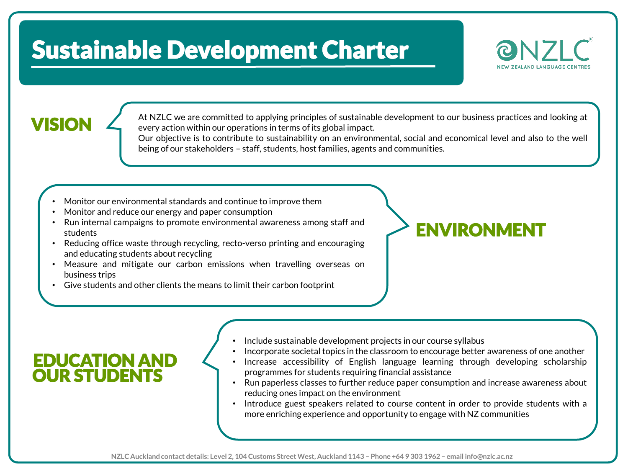## Sustainable Development Charter



At NZLC we are committed to applying principles of sustainable development to our business practices and looking at every action within our operations in terms of its global impact.

> Our objective is to contribute to sustainability on an environmental, social and economical level and also to the well being of our stakeholders – staff, students, host families, agents and communities.

- Monitor our environmental standards and continue to improve them
- Monitor and reduce our energy and paper consumption
- Run internal campaigns to promote environmental awareness among staff and students
- Reducing office waste through recycling, recto-verso printing and encouraging and educating students about recycling
- Measure and mitigate our carbon emissions when travelling overseas on business trips
- Give students and other clients the means to limit their carbon footprint

## ENVIRONMENT

- Include sustainable development projects in our course syllabus
	- Incorporate societal topics in the classroom to encourage better awareness of one another
	- Increase accessibility of English language learning through developing scholarship programmes for students requiring financial assistance
	- Run paperless classes to further reduce paper consumption and increase awareness about reducing ones impact on the environment
	- Introduce guest speakers related to course content in order to provide students with a more enriching experience and opportunity to engage with NZ communities

### EDUCATION AND OUR STUDENTS